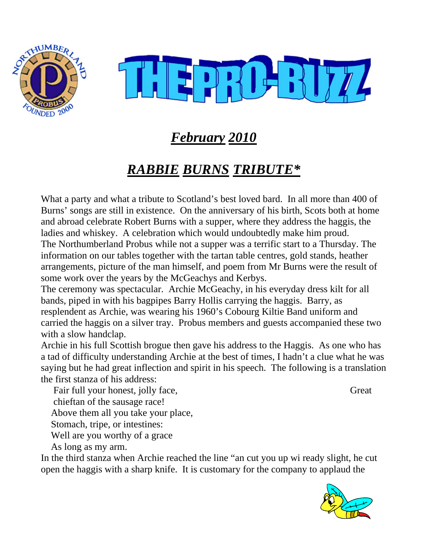



# *February 2010*

# *RABBIE BURNS TRIBUTE\**

What a party and what a tribute to Scotland's best loved bard. In all more than 400 of Burns' songs are still in existence. On the anniversary of his birth, Scots both at home and abroad celebrate Robert Burns with a supper, where they address the haggis, the ladies and whiskey. A celebration which would undoubtedly make him proud. The Northumberland Probus while not a supper was a terrific start to a Thursday. The information on our tables together with the tartan table centres, gold stands, heather arrangements, picture of the man himself, and poem from Mr Burns were the result of some work over the years by the McGeachys and Kerbys.

The ceremony was spectacular. Archie McGeachy, in his everyday dress kilt for all bands, piped in with his bagpipes Barry Hollis carrying the haggis. Barry, as resplendent as Archie, was wearing his 1960's Cobourg Kiltie Band uniform and carried the haggis on a silver tray. Probus members and guests accompanied these two with a slow handclap.

Archie in his full Scottish brogue then gave his address to the Haggis. As one who has a tad of difficulty understanding Archie at the best of times, I hadn't a clue what he was saying but he had great inflection and spirit in his speech. The following is a translation the first stanza of his address:

Fair full your honest, jolly face, Great chieftan of the sausage race! Above them all you take your place, Stomach, tripe, or intestines: Well are you worthy of a grace

As long as my arm.

In the third stanza when Archie reached the line "an cut you up wi ready slight, he cut open the haggis with a sharp knife. It is customary for the company to applaud the

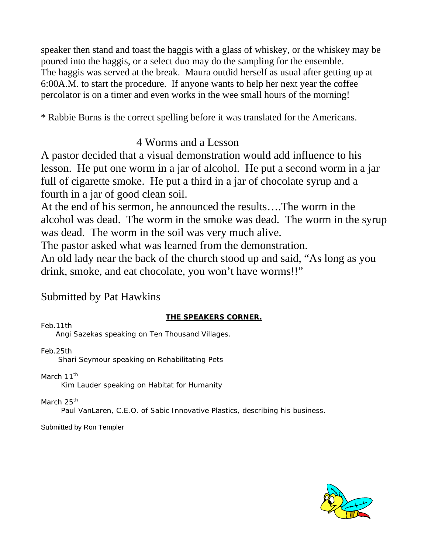speaker then stand and toast the haggis with a glass of whiskey, or the whiskey may be poured into the haggis, or a select duo may do the sampling for the ensemble. The haggis was served at the break. Maura outdid herself as usual after getting up at 6:00A.M. to start the procedure. If anyone wants to help her next year the coffee percolator is on a timer and even works in the wee small hours of the morning!

\* Rabbie Burns is the correct spelling before it was translated for the Americans.

## 4 Worms and a Lesson

A pastor decided that a visual demonstration would add influence to his lesson. He put one worm in a jar of alcohol. He put a second worm in a jar full of cigarette smoke. He put a third in a jar of chocolate syrup and a fourth in a jar of good clean soil.

At the end of his sermon, he announced the results….The worm in the alcohol was dead. The worm in the smoke was dead. The worm in the syrup was dead. The worm in the soil was very much alive.

The pastor asked what was learned from the demonstration.

An old lady near the back of the church stood up and said, "As long as you drink, smoke, and eat chocolate, you won't have worms!!"

## Submitted by Pat Hawkins

## **THE SPEAKERS CORNER.**

Feb.11th

Angi Sazekas speaking on Ten Thousand Villages.

Feb.25th

Shari Seymour speaking on Rehabilitating Pets

March 11<sup>th</sup>

Kim Lauder speaking on Habitat for Humanity

March 25<sup>th</sup>

Paul VanLaren, C.E.O. of Sabic Innovative Plastics, describing his business.

Submitted by Ron Templer

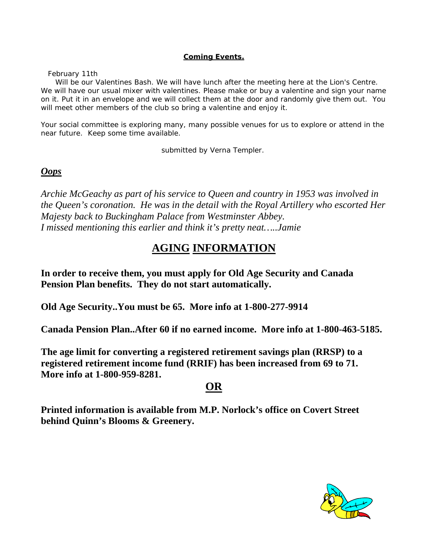#### **Coming Events.**

February 11th

 Will be our Valentines Bash. We will have lunch after the meeting here at the Lion's Centre. We will have our usual mixer with valentines. Please make or buy a valentine and sign your name on it. Put it in an envelope and we will collect them at the door and randomly give them out. You will meet other members of the club so bring a valentine and enjoy it.

Your social committee is exploring many, many possible venues for us to explore or attend in the near future. Keep some time available.

submitted by Verna Templer.

#### *Oops*

*Archie McGeachy as part of his service to Queen and country in 1953 was involved in the Queen's coronation. He was in the detail with the Royal Artillery who escorted Her Majesty back to Buckingham Palace from Westminster Abbey. I missed mentioning this earlier and think it's pretty neat…..Jamie*

## **AGING INFORMATION**

**In order to receive them, you must apply for Old Age Security and Canada Pension Plan benefits. They do not start automatically.** 

**Old Age Security..You must be 65. More info at 1-800-277-9914** 

**Canada Pension Plan..After 60 if no earned income. More info at 1-800-463-5185.** 

**The age limit for converting a registered retirement savings plan (RRSP) to a registered retirement income fund (RRIF) has been increased from 69 to 71. More info at 1-800-959-8281.** 

### **OR**

**Printed information is available from M.P. Norlock's office on Covert Street behind Quinn's Blooms & Greenery.**